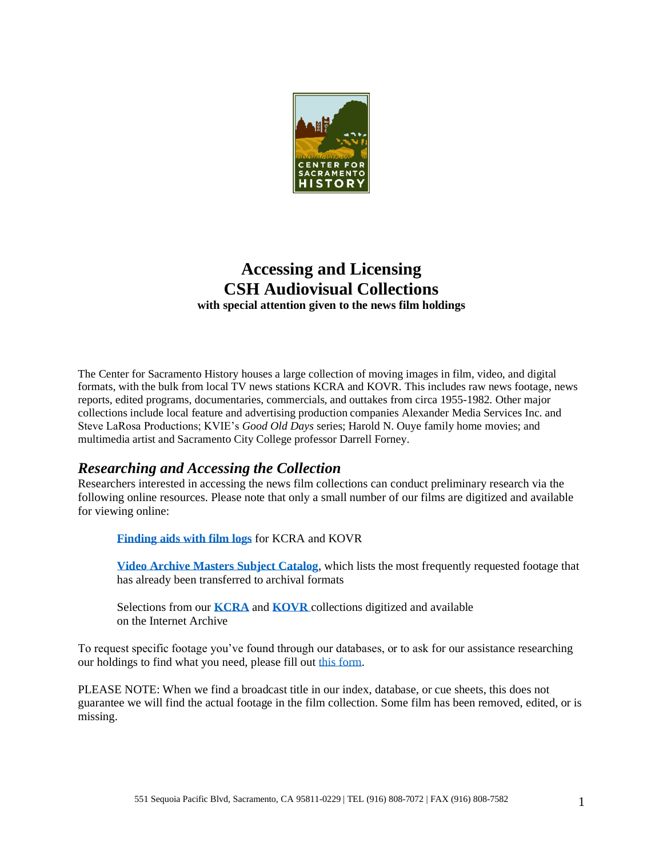

# **Accessing and Licensing CSH Audiovisual Collections with special attention given to the news film holdings**

The Center for Sacramento History houses a large collection of moving images in film, video, and digital formats, with the bulk from local TV news stations KCRA and KOVR. This includes raw news footage, news reports, edited programs, documentaries, commercials, and outtakes from circa 1955-1982. Other major collections include local feature and advertising production companies Alexander Media Services Inc. and Steve LaRosa Productions; KVIE's *Good Old Days* series; Harold N. Ouye family home movies; and multimedia artist and Sacramento City College professor Darrell Forney.

### *Researching and Accessing the Collection*

Researchers interested in accessing the news film collections can conduct preliminary research via the following online resources. Please note that only a small number of our films are digitized and available for viewing online:

**[Finding aids with film logs](https://oac.cdlib.org/institutions/Center+for+Sacramento+History)** for KCRA and KOVR

**[Video Archive Masters Subject Catalog](http://www.centerforsacramentohistory.org/-/media/CSHistory/Files/Collections/Moving-Images/VAM-Subject-Catalog.pdf?la=en)**, which lists the most frequently requested footage that has already been transferred to archival formats

Selections from our **[KCRA](https://archive.org/details/centerforsacramentohistory?&and%5b%5d=kcra)** and **[KOVR](https://archive.org/details/centerforsacramentohistory?&and%5b%5d=kovr)** collections digitized and available on the Internet Archive

To request specific footage you've found through our databases, or to ask for our assistance researching our holdings to find what you need, please fill out [this form.](https://forms.cityofsacramento.org/f/CCS_CSH_FilmFootageRequestForm)

PLEASE NOTE: When we find a broadcast title in our index, database, or cue sheets, this does not guarantee we will find the actual footage in the film collection. Some film has been removed, edited, or is missing.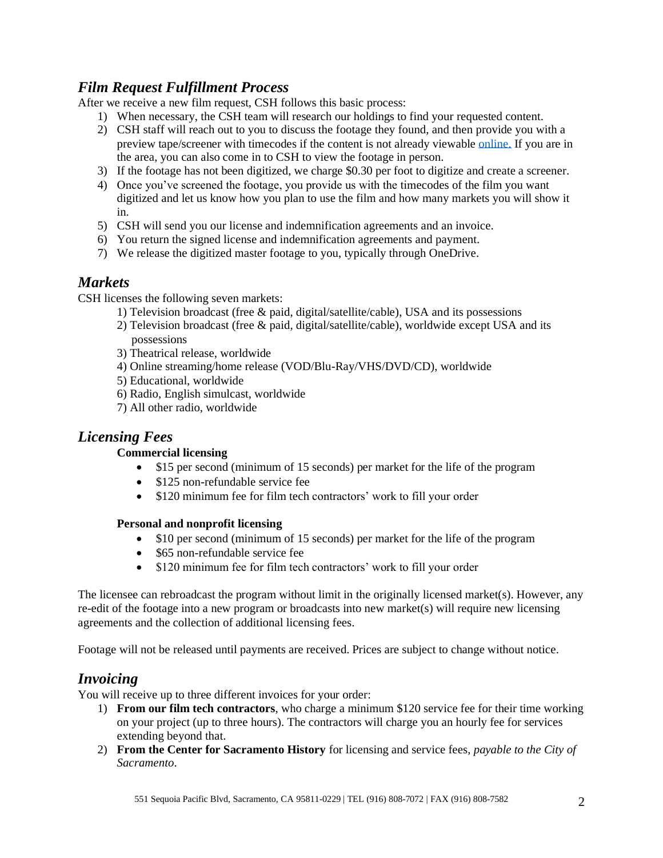## *Film Request Fulfillment Process*

After we receive a new film request, CSH follows this basic process:

- 1) When necessary, the CSH team will research our holdings to find your requested content.
- 2) CSH staff will reach out to you to discuss the footage they found, and then provide you with a preview tape/screener with timecodes if the content is not already viewable [online.](https://archive.org/details/centerforsacramentohistory) If you are in the area, you can also come in to CSH to view the footage in person.
- 3) If the footage has not been digitized, we charge \$0.30 per foot to digitize and create a screener.
- 4) Once you've screened the footage, you provide us with the timecodes of the film you want digitized and let us know how you plan to use the film and how many markets you will show it in.
- 5) CSH will send you our license and indemnification agreements and an invoice.
- 6) You return the signed license and indemnification agreements and payment.
- 7) We release the digitized master footage to you, typically through OneDrive.

### *Markets*

CSH licenses the following seven markets:

- 1) Television broadcast (free & paid, digital/satellite/cable), USA and its possessions
- 2) Television broadcast (free & paid, digital/satellite/cable), worldwide except USA and its possessions
- 3) Theatrical release, worldwide
- 4) Online streaming/home release (VOD/Blu-Ray/VHS/DVD/CD), worldwide
- 5) Educational, worldwide
- 6) Radio, English simulcast, worldwide
- 7) All other radio, worldwide

### *Licensing Fees*

### **Commercial licensing**

- \$15 per second (minimum of 15 seconds) per market for the life of the program
- \$125 non-refundable service fee
- \$120 minimum fee for film tech contractors' work to fill your order

#### **Personal and nonprofit licensing**

- \$10 per second (minimum of 15 seconds) per market for the life of the program
- \$65 non-refundable service fee
- \$120 minimum fee for film tech contractors' work to fill your order

The licensee can rebroadcast the program without limit in the originally licensed market(s). However, any re-edit of the footage into a new program or broadcasts into new market(s) will require new licensing agreements and the collection of additional licensing fees.

Footage will not be released until payments are received. Prices are subject to change without notice.

### *Invoicing*

You will receive up to three different invoices for your order:

- 1) **From our film tech contractors**, who charge a minimum \$120 service fee for their time working on your project (up to three hours). The contractors will charge you an hourly fee for services extending beyond that.
- 2) **From the Center for Sacramento History** for licensing and service fees, *payable to the City of Sacramento*.